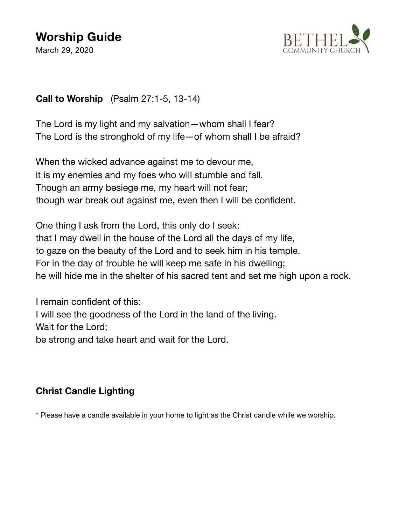March 29, 2020



## **Call to Worship** (Psalm 27:1-5, 13-14)

The Lord is my light and my salvation—whom shall I fear? The Lord is the stronghold of my life—of whom shall I be afraid?

When the wicked advance against me to devour me, it is my enemies and my foes who will stumble and fall. Though an army besiege me, my heart will not fear; though war break out against me, even then I will be confident.

One thing I ask from the Lord, this only do I seek: that I may dwell in the house of the Lord all the days of my life, to gaze on the beauty of the Lord and to seek him in his temple. For in the day of trouble he will keep me safe in his dwelling; he will hide me in the shelter of his sacred tent and set me high upon a rock.

I remain confident of this: I will see the goodness of the Lord in the land of the living. Wait for the Lord; be strong and take heart and wait for the Lord.

### **Christ Candle Lighting**

\* Please have a candle available in your home to light as the Christ candle while we worship.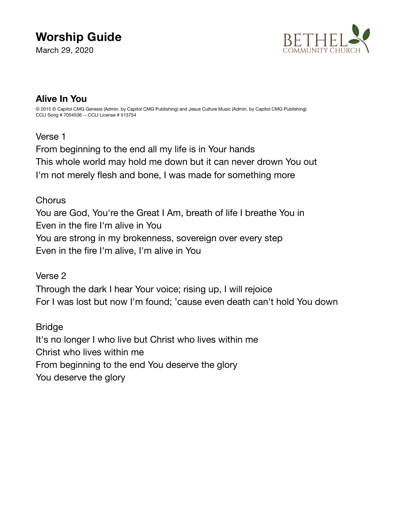March 29, 2020



#### **Alive In You**

© 2015 © Capitol CMG Genesis (Admin. by Capitol CMG Publishing) and Jesus Culture Music (Admin. by Capitol CMG Publishing) CCLI Song # 7054536 -- CCLI License # 513754

Verse 1

From beginning to the end all my life is in Your hands This whole world may hold me down but it can never drown You out I'm not merely flesh and bone, I was made for something more

**Chorus** You are God, You're the Great I Am, breath of life I breathe You in Even in the fire I'm alive in You You are strong in my brokenness, sovereign over every step

Even in the fire I'm alive, I'm alive in You

Verse 2

Through the dark I hear Your voice; rising up, I will rejoice For I was lost but now I'm found; 'cause even death can't hold You down

Bridge It's no longer I who live but Christ who lives within me Christ who lives within me From beginning to the end You deserve the glory You deserve the glory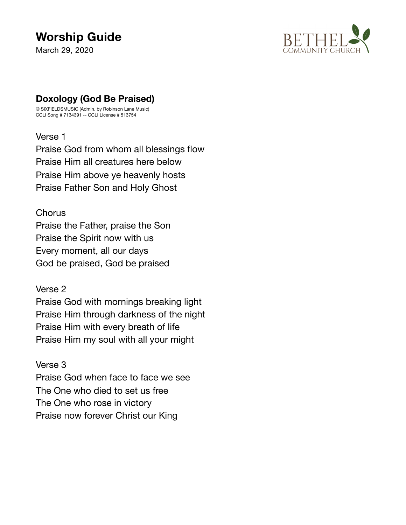March 29, 2020



## **Doxology (God Be Praised)**

© SIXFIELDSMUSIC (Admin. by Robinson Lane Music) CCLI Song # 7134391 -- CCLI License # 513754

Verse 1 Praise God from whom all blessings flow Praise Him all creatures here below Praise Him above ye heavenly hosts Praise Father Son and Holy Ghost

**Chorus** Praise the Father, praise the Son Praise the Spirit now with us Every moment, all our days God be praised, God be praised

#### Verse 2

Praise God with mornings breaking light Praise Him through darkness of the night Praise Him with every breath of life Praise Him my soul with all your might

Verse 3 Praise God when face to face we see The One who died to set us free The One who rose in victory Praise now forever Christ our King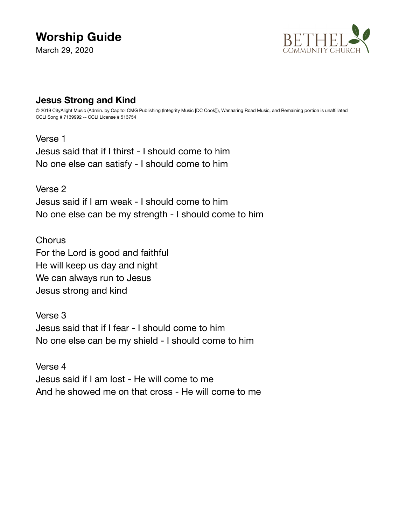March 29, 2020



#### **Jesus Strong and Kind**

© 2019 CityAlight Music (Admin. by Capitol CMG Publishing (Integrity Music [DC Cook])), Wanaaring Road Music, and Remaining portion is unaffiliated CCLI Song # 7139992 -- CCLI License # 513754

Verse 1 Jesus said that if I thirst - I should come to him No one else can satisfy - I should come to him

Verse 2 Jesus said if I am weak - I should come to him No one else can be my strength - I should come to him

**Chorus** For the Lord is good and faithful He will keep us day and night We can always run to Jesus Jesus strong and kind

Verse 3 Jesus said that if I fear - I should come to him No one else can be my shield - I should come to him

Verse 4 Jesus said if I am lost - He will come to me And he showed me on that cross - He will come to me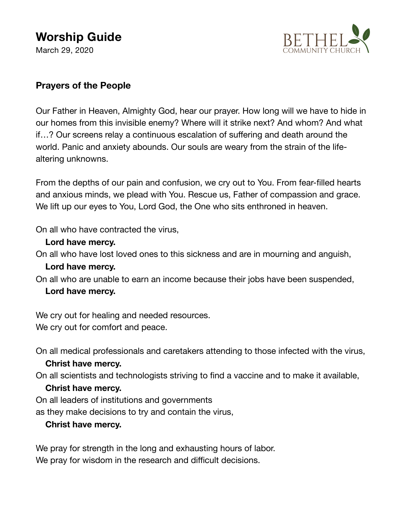March 29, 2020



### **Prayers of the People**

Our Father in Heaven, Almighty God, hear our prayer. How long will we have to hide in our homes from this invisible enemy? Where will it strike next? And whom? And what if…? Our screens relay a continuous escalation of suffering and death around the world. Panic and anxiety abounds. Our souls are weary from the strain of the lifealtering unknowns.

From the depths of our pain and confusion, we cry out to You. From fear-filled hearts and anxious minds, we plead with You. Rescue us, Father of compassion and grace. We lift up our eyes to You, Lord God, the One who sits enthroned in heaven.

On all who have contracted the virus,

#### **Lord have mercy.**

On all who have lost loved ones to this sickness and are in mourning and anguish,

#### **Lord have mercy.**

On all who are unable to earn an income because their jobs have been suspended,

#### **Lord have mercy.**

We cry out for healing and needed resources. We cry out for comfort and peace.

On all medical professionals and caretakers attending to those infected with the virus,

#### **Christ have mercy.**

On all scientists and technologists striving to find a vaccine and to make it available,

#### **Christ have mercy.**

On all leaders of institutions and governments as they make decisions to try and contain the virus,

#### **Christ have mercy.**

We pray for strength in the long and exhausting hours of labor. We pray for wisdom in the research and difficult decisions.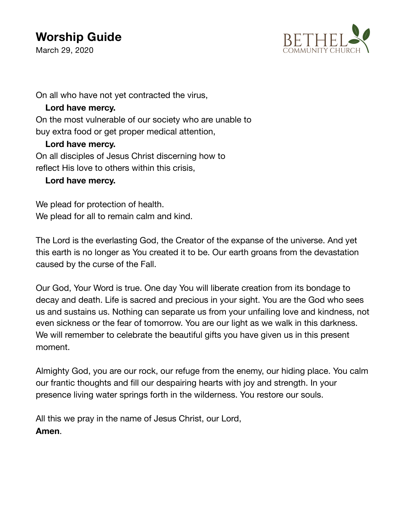March 29, 2020



On all who have not yet contracted the virus,

#### **Lord have mercy.**

On the most vulnerable of our society who are unable to buy extra food or get proper medical attention,

#### **Lord have mercy.**

On all disciples of Jesus Christ discerning how to reflect His love to others within this crisis,

#### **Lord have mercy.**

We plead for protection of health. We plead for all to remain calm and kind.

The Lord is the everlasting God, the Creator of the expanse of the universe. And yet this earth is no longer as You created it to be. Our earth groans from the devastation caused by the curse of the Fall.

Our God, Your Word is true. One day You will liberate creation from its bondage to decay and death. Life is sacred and precious in your sight. You are the God who sees us and sustains us. Nothing can separate us from your unfailing love and kindness, not even sickness or the fear of tomorrow. You are our light as we walk in this darkness. We will remember to celebrate the beautiful gifts you have given us in this present moment.

Almighty God, you are our rock, our refuge from the enemy, our hiding place. You calm our frantic thoughts and fill our despairing hearts with joy and strength. In your presence living water springs forth in the wilderness. You restore our souls.

All this we pray in the name of Jesus Christ, our Lord, **Amen**.